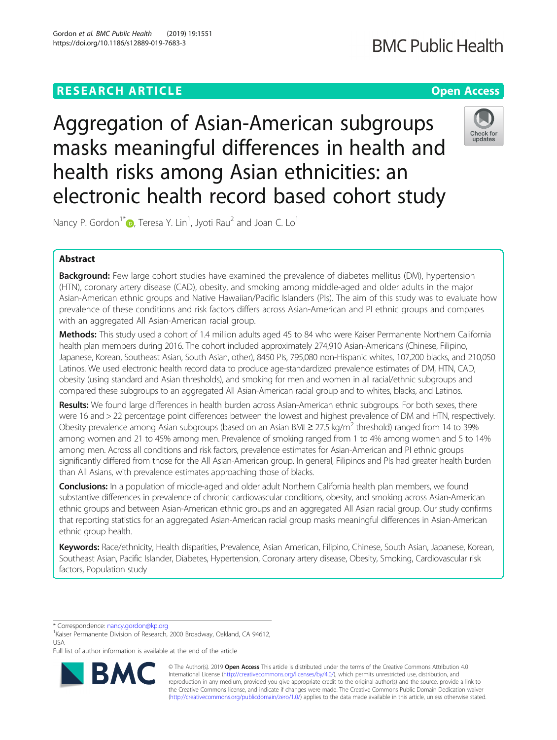# **RESEARCH ARTICLE Example 2014 12:30 The Contract of Contract ACCESS**

# Aggregation of Asian-American subgroups masks meaningful differences in health and health risks among Asian ethnicities: an electronic health record based cohort study

Nancy P. Gordon<sup>1\*</sup>  $\bullet$ , Teresa Y. Lin<sup>1</sup>, Jyoti Rau<sup>2</sup> and Joan C. Lo<sup>1</sup>

# Abstract

Background: Few large cohort studies have examined the prevalence of diabetes mellitus (DM), hypertension (HTN), coronary artery disease (CAD), obesity, and smoking among middle-aged and older adults in the major Asian-American ethnic groups and Native Hawaiian/Pacific Islanders (PIs). The aim of this study was to evaluate how prevalence of these conditions and risk factors differs across Asian-American and PI ethnic groups and compares with an aggregated All Asian-American racial group.

Methods: This study used a cohort of 1.4 million adults aged 45 to 84 who were Kaiser Permanente Northern California health plan members during 2016. The cohort included approximately 274,910 Asian-Americans (Chinese, Filipino, Japanese, Korean, Southeast Asian, South Asian, other), 8450 PIs, 795,080 non-Hispanic whites, 107,200 blacks, and 210,050 Latinos. We used electronic health record data to produce age-standardized prevalence estimates of DM, HTN, CAD, obesity (using standard and Asian thresholds), and smoking for men and women in all racial/ethnic subgroups and compared these subgroups to an aggregated All Asian-American racial group and to whites, blacks, and Latinos.

Results: We found large differences in health burden across Asian-American ethnic subgroups. For both sexes, there were 16 and > 22 percentage point differences between the lowest and highest prevalence of DM and HTN, respectively. Obesity prevalence among Asian subgroups (based on an Asian BMI  $\geq$  27.5 kg/m<sup>2</sup> threshold) ranged from 14 to 39% among women and 21 to 45% among men. Prevalence of smoking ranged from 1 to 4% among women and 5 to 14% among men. Across all conditions and risk factors, prevalence estimates for Asian-American and PI ethnic groups significantly differed from those for the All Asian-American group. In general, Filipinos and PIs had greater health burden than All Asians, with prevalence estimates approaching those of blacks.

**Conclusions:** In a population of middle-aged and older adult Northern California health plan members, we found substantive differences in prevalence of chronic cardiovascular conditions, obesity, and smoking across Asian-American ethnic groups and between Asian-American ethnic groups and an aggregated All Asian racial group. Our study confirms that reporting statistics for an aggregated Asian-American racial group masks meaningful differences in Asian-American ethnic group health.

Keywords: Race/ethnicity, Health disparities, Prevalence, Asian American, Filipino, Chinese, South Asian, Japanese, Korean, Southeast Asian, Pacific Islander, Diabetes, Hypertension, Coronary artery disease, Obesity, Smoking, Cardiovascular risk factors, Population study

\* Correspondence: [nancy.gordon@kp.org](mailto:nancy.gordon@kp.org) <sup>1</sup>

<sup>1</sup> Kaiser Permanente Division of Research, 2000 Broadway, Oakland, CA 94612, USA

Full list of author information is available at the end of the article

© The Author(s). 2019 Open Access This article is distributed under the terms of the Creative Commons Attribution 4.0

International License [\(http://creativecommons.org/licenses/by/4.0/](http://creativecommons.org/licenses/by/4.0/)), which permits unrestricted use, distribution, and reproduction in any medium, provided you give appropriate credit to the original author(s) and the source, provide a link to the Creative Commons license, and indicate if changes were made. The Creative Commons Public Domain Dedication waiver [\(http://creativecommons.org/publicdomain/zero/1.0/](http://creativecommons.org/publicdomain/zero/1.0/)) applies to the data made available in this article, unless otherwise stated.

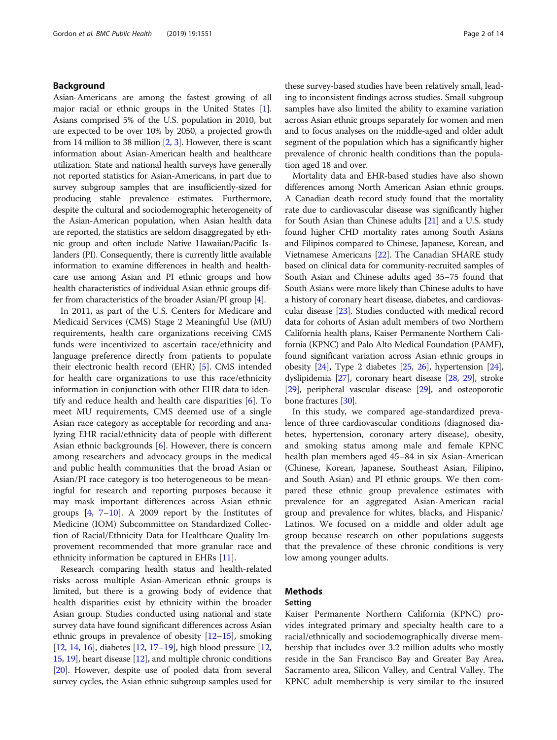# Background

Asian-Americans are among the fastest growing of all major racial or ethnic groups in the United States [[1](#page-13-0)]. Asians comprised 5% of the U.S. population in 2010, but are expected to be over 10% by 2050, a projected growth from 14 million to [3](#page-13-0)8 million  $[2, 3]$  $[2, 3]$ . However, there is scant information about Asian-American health and healthcare utilization. State and national health surveys have generally not reported statistics for Asian-Americans, in part due to survey subgroup samples that are insufficiently-sized for producing stable prevalence estimates. Furthermore, despite the cultural and sociodemographic heterogeneity of the Asian-American population, when Asian health data are reported, the statistics are seldom disaggregated by ethnic group and often include Native Hawaiian/Pacific Islanders (PI). Consequently, there is currently little available information to examine differences in health and healthcare use among Asian and PI ethnic groups and how health characteristics of individual Asian ethnic groups differ from characteristics of the broader Asian/PI group [[4](#page-13-0)].

In 2011, as part of the U.S. Centers for Medicare and Medicaid Services (CMS) Stage 2 Meaningful Use (MU) requirements, health care organizations receiving CMS funds were incentivized to ascertain race/ethnicity and language preference directly from patients to populate their electronic health record (EHR) [[5\]](#page-13-0). CMS intended for health care organizations to use this race/ethnicity information in conjunction with other EHR data to identify and reduce health and health care disparities [\[6](#page-13-0)]. To meet MU requirements, CMS deemed use of a single Asian race category as acceptable for recording and analyzing EHR racial/ethnicity data of people with different Asian ethnic backgrounds [\[6](#page-13-0)]. However, there is concern among researchers and advocacy groups in the medical and public health communities that the broad Asian or Asian/PI race category is too heterogeneous to be meaningful for research and reporting purposes because it may mask important differences across Asian ethnic groups  $[4, 7-10]$  $[4, 7-10]$  $[4, 7-10]$  $[4, 7-10]$  $[4, 7-10]$  $[4, 7-10]$ . A 2009 report by the Institutes of Medicine (IOM) Subcommittee on Standardized Collection of Racial/Ethnicity Data for Healthcare Quality Improvement recommended that more granular race and ethnicity information be captured in EHRs [[11](#page-13-0)].

Research comparing health status and health-related risks across multiple Asian-American ethnic groups is limited, but there is a growing body of evidence that health disparities exist by ethnicity within the broader Asian group. Studies conducted using national and state survey data have found significant differences across Asian ethnic groups in prevalence of obesity [\[12](#page-13-0)–[15](#page-13-0)], smoking [[12](#page-13-0), [14](#page-13-0), [16\]](#page-13-0), diabetes [\[12,](#page-13-0) [17](#page-13-0)–[19\]](#page-13-0), high blood pressure [[12](#page-13-0), [15](#page-13-0), [19\]](#page-13-0), heart disease [\[12\]](#page-13-0), and multiple chronic conditions [[20](#page-13-0)]. However, despite use of pooled data from several survey cycles, the Asian ethnic subgroup samples used for

these survey-based studies have been relatively small, leading to inconsistent findings across studies. Small subgroup samples have also limited the ability to examine variation across Asian ethnic groups separately for women and men and to focus analyses on the middle-aged and older adult segment of the population which has a significantly higher prevalence of chronic health conditions than the population aged 18 and over.

Mortality data and EHR-based studies have also shown differences among North American Asian ethnic groups. A Canadian death record study found that the mortality rate due to cardiovascular disease was significantly higher for South Asian than Chinese adults [\[21\]](#page-13-0) and a U.S. study found higher CHD mortality rates among South Asians and Filipinos compared to Chinese, Japanese, Korean, and Vietnamese Americans [\[22\]](#page-13-0). The Canadian SHARE study based on clinical data for community-recruited samples of South Asian and Chinese adults aged 35–75 found that South Asians were more likely than Chinese adults to have a history of coronary heart disease, diabetes, and cardiovascular disease [\[23\]](#page-13-0). Studies conducted with medical record data for cohorts of Asian adult members of two Northern California health plans, Kaiser Permanente Northern California (KPNC) and Palo Alto Medical Foundation (PAMF), found significant variation across Asian ethnic groups in obesity [[24](#page-13-0)], Type 2 diabetes [[25](#page-13-0), [26](#page-13-0)], hypertension [[24](#page-13-0)], dyslipidemia [[27](#page-13-0)], coronary heart disease [\[28,](#page-13-0) [29\]](#page-13-0), stroke [[29](#page-13-0)], peripheral vascular disease [\[29\]](#page-13-0), and osteoporotic bone fractures [\[30\]](#page-13-0).

In this study, we compared age-standardized prevalence of three cardiovascular conditions (diagnosed diabetes, hypertension, coronary artery disease), obesity, and smoking status among male and female KPNC health plan members aged 45–84 in six Asian-American (Chinese, Korean, Japanese, Southeast Asian, Filipino, and South Asian) and PI ethnic groups. We then compared these ethnic group prevalence estimates with prevalence for an aggregated Asian-American racial group and prevalence for whites, blacks, and Hispanic/ Latinos. We focused on a middle and older adult age group because research on other populations suggests that the prevalence of these chronic conditions is very low among younger adults.

# Methods

# Setting

Kaiser Permanente Northern California (KPNC) provides integrated primary and specialty health care to a racial/ethnically and sociodemographically diverse membership that includes over 3.2 million adults who mostly reside in the San Francisco Bay and Greater Bay Area, Sacramento area, Silicon Valley, and Central Valley. The KPNC adult membership is very similar to the insured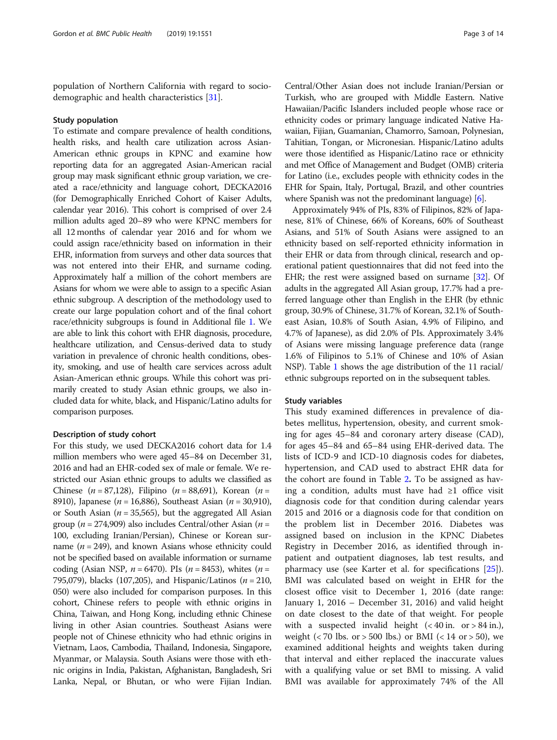population of Northern California with regard to sociodemographic and health characteristics [\[31\]](#page-13-0).

#### Study population

To estimate and compare prevalence of health conditions, health risks, and health care utilization across Asian-American ethnic groups in KPNC and examine how reporting data for an aggregated Asian-American racial group may mask significant ethnic group variation, we created a race/ethnicity and language cohort, DECKA2016 (for Demographically Enriched Cohort of Kaiser Adults, calendar year 2016). This cohort is comprised of over 2.4 million adults aged 20–89 who were KPNC members for all 12 months of calendar year 2016 and for whom we could assign race/ethnicity based on information in their EHR, information from surveys and other data sources that was not entered into their EHR, and surname coding. Approximately half a million of the cohort members are Asians for whom we were able to assign to a specific Asian ethnic subgroup. A description of the methodology used to create our large population cohort and of the final cohort race/ethnicity subgroups is found in Additional file [1.](#page-12-0) We are able to link this cohort with EHR diagnosis, procedure, healthcare utilization, and Census-derived data to study variation in prevalence of chronic health conditions, obesity, smoking, and use of health care services across adult Asian-American ethnic groups. While this cohort was primarily created to study Asian ethnic groups, we also included data for white, black, and Hispanic/Latino adults for comparison purposes.

# Description of study cohort

For this study, we used DECKA2016 cohort data for 1.4 million members who were aged 45–84 on December 31, 2016 and had an EHR-coded sex of male or female. We restricted our Asian ethnic groups to adults we classified as Chinese ( $n = 87,128$ ), Filipino ( $n = 88,691$ ), Korean ( $n =$ 8910), Japanese ( $n = 16,886$ ), Southeast Asian ( $n = 30,910$ ), or South Asian ( $n = 35,565$ ), but the aggregated All Asian group ( $n = 274,909$ ) also includes Central/other Asian ( $n =$ 100, excluding Iranian/Persian), Chinese or Korean surname ( $n = 249$ ), and known Asians whose ethnicity could not be specified based on available information or surname coding (Asian NSP,  $n = 6470$ ). PIs ( $n = 8453$ ), whites ( $n =$ 795,079), blacks (107,205), and Hispanic/Latinos ( $n = 210$ , 050) were also included for comparison purposes. In this cohort, Chinese refers to people with ethnic origins in China, Taiwan, and Hong Kong, including ethnic Chinese living in other Asian countries. Southeast Asians were people not of Chinese ethnicity who had ethnic origins in Vietnam, Laos, Cambodia, Thailand, Indonesia, Singapore, Myanmar, or Malaysia. South Asians were those with ethnic origins in India, Pakistan, Afghanistan, Bangladesh, Sri Lanka, Nepal, or Bhutan, or who were Fijian Indian.

Central/Other Asian does not include Iranian/Persian or Turkish, who are grouped with Middle Eastern. Native Hawaiian/Pacific Islanders included people whose race or ethnicity codes or primary language indicated Native Hawaiian, Fijian, Guamanian, Chamorro, Samoan, Polynesian, Tahitian, Tongan, or Micronesian. Hispanic/Latino adults were those identified as Hispanic/Latino race or ethnicity and met Office of Management and Budget (OMB) criteria for Latino (i.e., excludes people with ethnicity codes in the EHR for Spain, Italy, Portugal, Brazil, and other countries where Spanish was not the predominant language) [\[6](#page-13-0)].

Approximately 94% of PIs, 83% of Filipinos, 82% of Japanese, 81% of Chinese, 66% of Koreans, 60% of Southeast Asians, and 51% of South Asians were assigned to an ethnicity based on self-reported ethnicity information in their EHR or data from through clinical, research and operational patient questionnaires that did not feed into the EHR; the rest were assigned based on surname [\[32\]](#page-13-0). Of adults in the aggregated All Asian group, 17.7% had a preferred language other than English in the EHR (by ethnic group, 30.9% of Chinese, 31.7% of Korean, 32.1% of Southeast Asian, 10.8% of South Asian, 4.9% of Filipino, and 4.7% of Japanese), as did 2.0% of PIs. Approximately 3.4% of Asians were missing language preference data (range 1.6% of Filipinos to 5.1% of Chinese and 10% of Asian NSP). Table [1](#page-3-0) shows the age distribution of the 11 racial/ ethnic subgroups reported on in the subsequent tables.

#### Study variables

This study examined differences in prevalence of diabetes mellitus, hypertension, obesity, and current smoking for ages 45–84 and coronary artery disease (CAD), for ages 45–84 and 65–84 using EHR-derived data. The lists of ICD-9 and ICD-10 diagnosis codes for diabetes, hypertension, and CAD used to abstract EHR data for the cohort are found in Table [2](#page-4-0). To be assigned as having a condition, adults must have had ≥1 office visit diagnosis code for that condition during calendar years 2015 and 2016 or a diagnosis code for that condition on the problem list in December 2016. Diabetes was assigned based on inclusion in the KPNC Diabetes Registry in December 2016, as identified through inpatient and outpatient diagnoses, lab test results, and pharmacy use (see Karter et al. for specifications [\[25](#page-13-0)]). BMI was calculated based on weight in EHR for the closest office visit to December 1, 2016 (date range: January 1, 2016 – December 31, 2016) and valid height on date closest to the date of that weight. For people with a suspected invalid height  $( $40 \text{ in. or } > 84 \text{ in.}$ ),$ weight  $\left($  < 70 lbs. or > 500 lbs.) or BMI  $\left($  < 14 or > 50), we examined additional heights and weights taken during that interval and either replaced the inaccurate values with a qualifying value or set BMI to missing. A valid BMI was available for approximately 74% of the All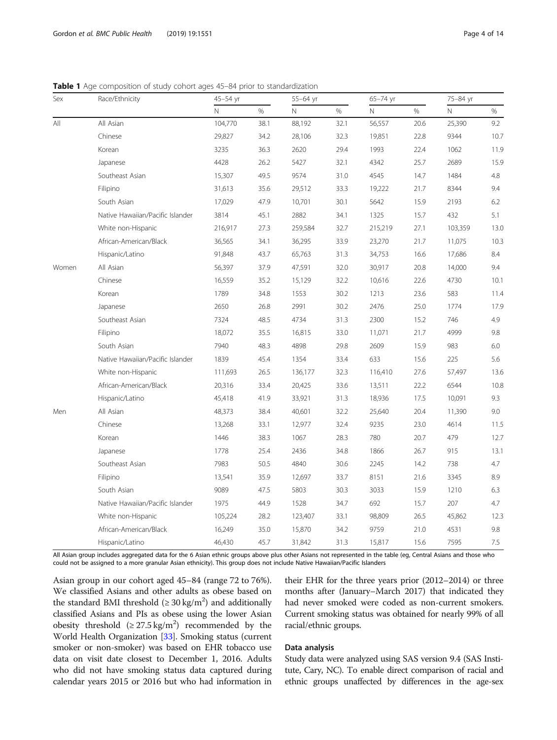<span id="page-3-0"></span>Table 1 Age composition of study cohort ages 45-84 prior to standardization

| Sex   | Race/Ethnicity                   | 45-54 yr     | 55-64 yr |         |      | 65-74 yr |      | 75-84 yr     |      |
|-------|----------------------------------|--------------|----------|---------|------|----------|------|--------------|------|
|       |                                  | $\mathsf{N}$ | $\%$     | N.      | $\%$ | N        | $\%$ | $\mathsf{N}$ | $\%$ |
| All   | All Asian                        | 104,770      | 38.1     | 88,192  | 32.1 | 56,557   | 20.6 | 25,390       | 9.2  |
|       | Chinese                          | 29,827       | 34.2     | 28,106  | 32.3 | 19,851   | 22.8 | 9344         | 10.7 |
|       | Korean                           | 3235         | 36.3     | 2620    | 29.4 | 1993     | 22.4 | 1062         | 11.9 |
|       | Japanese                         | 4428         | 26.2     | 5427    | 32.1 | 4342     | 25.7 | 2689         | 15.9 |
|       | Southeast Asian                  | 15,307       | 49.5     | 9574    | 31.0 | 4545     | 14.7 | 1484         | 4.8  |
|       | Filipino                         | 31,613       | 35.6     | 29,512  | 33.3 | 19,222   | 21.7 | 8344         | 9.4  |
|       | South Asian                      | 17,029       | 47.9     | 10,701  | 30.1 | 5642     | 15.9 | 2193         | 6.2  |
|       | Native Hawaiian/Pacific Islander | 3814         | 45.1     | 2882    | 34.1 | 1325     | 15.7 | 432          | 5.1  |
|       | White non-Hispanic               | 216,917      | 27.3     | 259,584 | 32.7 | 215,219  | 27.1 | 103,359      | 13.0 |
|       | African-American/Black           | 36,565       | 34.1     | 36,295  | 33.9 | 23,270   | 21.7 | 11,075       | 10.3 |
|       | Hispanic/Latino                  | 91,848       | 43.7     | 65,763  | 31.3 | 34,753   | 16.6 | 17,686       | 8.4  |
| Women | All Asian                        | 56,397       | 37.9     | 47,591  | 32.0 | 30,917   | 20.8 | 14,000       | 9.4  |
|       | Chinese                          | 16,559       | 35.2     | 15,129  | 32.2 | 10,616   | 22.6 | 4730         | 10.1 |
|       | Korean                           | 1789         | 34.8     | 1553    | 30.2 | 1213     | 23.6 | 583          | 11.4 |
|       | Japanese                         | 2650         | 26.8     | 2991    | 30.2 | 2476     | 25.0 | 1774         | 17.9 |
|       | Southeast Asian                  | 7324         | 48.5     | 4734    | 31.3 | 2300     | 15.2 | 746          | 4.9  |
|       | Filipino                         | 18,072       | 35.5     | 16,815  | 33.0 | 11,071   | 21.7 | 4999         | 9.8  |
|       | South Asian                      | 7940         | 48.3     | 4898    | 29.8 | 2609     | 15.9 | 983          | 6.0  |
|       | Native Hawaiian/Pacific Islander | 1839         | 45.4     | 1354    | 33.4 | 633      | 15.6 | 225          | 5.6  |
|       | White non-Hispanic               | 111,693      | 26.5     | 136,177 | 32.3 | 116,410  | 27.6 | 57,497       | 13.6 |
|       | African-American/Black           | 20,316       | 33.4     | 20,425  | 33.6 | 13,511   | 22.2 | 6544         | 10.8 |
|       | Hispanic/Latino                  | 45,418       | 41.9     | 33,921  | 31.3 | 18,936   | 17.5 | 10,091       | 9.3  |
| Men   | All Asian                        | 48,373       | 38.4     | 40,601  | 32.2 | 25,640   | 20.4 | 11,390       | 9.0  |
|       | Chinese                          | 13,268       | 33.1     | 12,977  | 32.4 | 9235     | 23.0 | 4614         | 11.5 |
|       | Korean                           | 1446         | 38.3     | 1067    | 28.3 | 780      | 20.7 | 479          | 12.7 |
|       | Japanese                         | 1778         | 25.4     | 2436    | 34.8 | 1866     | 26.7 | 915          | 13.1 |
|       | Southeast Asian                  | 7983         | 50.5     | 4840    | 30.6 | 2245     | 14.2 | 738          | 4.7  |
|       | Filipino                         | 13,541       | 35.9     | 12,697  | 33.7 | 8151     | 21.6 | 3345         | 8.9  |
|       | South Asian                      | 9089         | 47.5     | 5803    | 30.3 | 3033     | 15.9 | 1210         | 6.3  |
|       | Native Hawaiian/Pacific Islander | 1975         | 44.9     | 1528    | 34.7 | 692      | 15.7 | 207          | 4.7  |
|       | White non-Hispanic               | 105,224      | 28.2     | 123,407 | 33.1 | 98,809   | 26.5 | 45,862       | 12.3 |
|       | African-American/Black           | 16,249       | 35.0     | 15,870  | 34.2 | 9759     | 21.0 | 4531         | 9.8  |
|       | Hispanic/Latino                  | 46,430       | 45.7     | 31,842  | 31.3 | 15,817   | 15.6 | 7595         | 7.5  |

All Asian group includes aggregated data for the 6 Asian ethnic groups above plus other Asians not represented in the table (eg, Central Asians and those who could not be assigned to a more granular Asian ethnicity). This group does not include Native Hawaiian/Pacific Islanders

Asian group in our cohort aged 45–84 (range 72 to 76%). We classified Asians and other adults as obese based on the standard BMI threshold ( $\geq 30 \text{ kg/m}^2$ ) and additionally classified Asians and PIs as obese using the lower Asian obesity threshold  $(227.5 \text{ kg/m}^2)$  recommended by the World Health Organization [[33\]](#page-13-0). Smoking status (current smoker or non-smoker) was based on EHR tobacco use data on visit date closest to December 1, 2016. Adults who did not have smoking status data captured during calendar years 2015 or 2016 but who had information in

their EHR for the three years prior (2012–2014) or three months after (January–March 2017) that indicated they had never smoked were coded as non-current smokers. Current smoking status was obtained for nearly 99% of all racial/ethnic groups.

# Data analysis

Study data were analyzed using SAS version 9.4 (SAS Institute, Cary, NC). To enable direct comparison of racial and ethnic groups unaffected by differences in the age-sex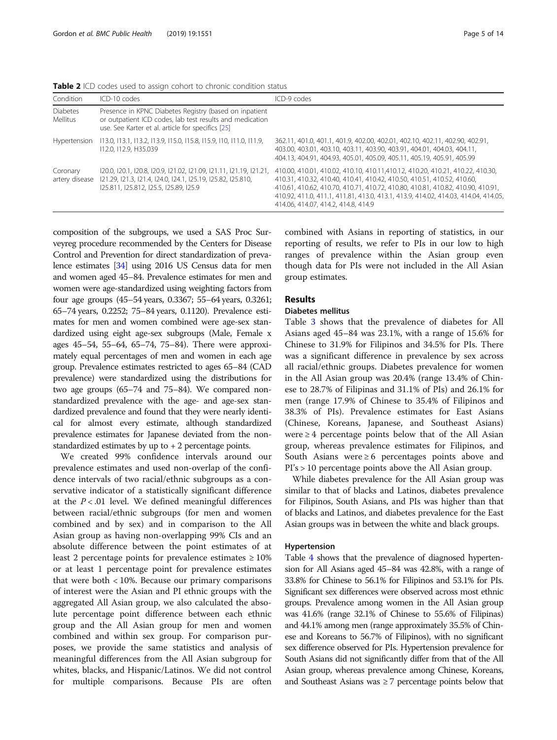<span id="page-4-0"></span>Table 2 ICD codes used to assign cohort to chronic condition status

| Condition                          | $ICD-10 codes$                                                                                                                                                                | ICD-9 codes                                                                                                                                                                                                                                                                                                                                                                |
|------------------------------------|-------------------------------------------------------------------------------------------------------------------------------------------------------------------------------|----------------------------------------------------------------------------------------------------------------------------------------------------------------------------------------------------------------------------------------------------------------------------------------------------------------------------------------------------------------------------|
| <b>Diabetes</b><br><b>Mellitus</b> | Presence in KPNC Diabetes Registry (based on inpatient<br>or outpatient ICD codes, lab test results and medication<br>use. See Karter et al. article for specifics [25]       |                                                                                                                                                                                                                                                                                                                                                                            |
|                                    | Hypertension 113.0, 113.1, 113.2, 113.9, 115.0, 115.8, 115.9, 110, 111.0, 111.9,<br>I12.0, I12.9, H35.039                                                                     | 362.11, 401.0, 401.1, 401.9, 402.00, 402.01, 402.10, 402.11, 402.90, 402.91,<br>403.00, 403.01, 403.10, 403.11, 403.90, 403.91, 404.01, 404.03, 404.11,<br>404.13, 404.91, 404.93, 405.01, 405.09, 405.11, 405.19, 405.91, 405.99                                                                                                                                          |
| Coronary<br>artery disease         | 120.0, 120.1, 120.8, 120.9, 121.02, 121.09, 121.11, 121.19, 121.21,<br>121.29, 121.3, 121.4, 124.0, 124.1, 125.19, 125.82, 125.810,<br>125.811, 125.812, 125.5, 125.89, 125.9 | 410.00, 410.01, 410.02, 410.10, 410.11, 410.12, 410.20, 410.21, 410.22, 410.30,<br>410.31, 410.32, 410.40, 410.41, 410.42, 410.50, 410.51, 410.52, 410.60,<br>410.61, 410.62, 410.70, 410.71, 410.72, 410.80, 410.81, 410.82, 410.90, 410.91,<br>410.92, 411.0, 411.1, 411.81, 413.0, 413.1, 413.9, 414.02, 414.03, 414.04, 414.05,<br>414.06, 414.07, 414.2, 414.8, 414.9 |

composition of the subgroups, we used a SAS Proc Surveyreg procedure recommended by the Centers for Disease Control and Prevention for direct standardization of prevalence estimates [\[34\]](#page-13-0) using 2016 US Census data for men and women aged 45–84. Prevalence estimates for men and women were age-standardized using weighting factors from four age groups (45–54 years, 0.3367; 55–64 years, 0.3261; 65–74 years, 0.2252; 75–84 years, 0.1120). Prevalence estimates for men and women combined were age-sex standardized using eight age-sex subgroups (Male, Female x ages 45–54, 55–64, 65–74, 75–84). There were approximately equal percentages of men and women in each age group. Prevalence estimates restricted to ages 65–84 (CAD prevalence) were standardized using the distributions for two age groups (65–74 and 75–84). We compared nonstandardized prevalence with the age- and age-sex standardized prevalence and found that they were nearly identical for almost every estimate, although standardized prevalence estimates for Japanese deviated from the nonstandardized estimates by up to  $+2$  percentage points.

We created 99% confidence intervals around our prevalence estimates and used non-overlap of the confidence intervals of two racial/ethnic subgroups as a conservative indicator of a statistically significant difference at the  $P < .01$  level. We defined meaningful differences between racial/ethnic subgroups (for men and women combined and by sex) and in comparison to the All Asian group as having non-overlapping 99% CIs and an absolute difference between the point estimates of at least 2 percentage points for prevalence estimates  $\geq 10\%$ or at least 1 percentage point for prevalence estimates that were both < 10%. Because our primary comparisons of interest were the Asian and PI ethnic groups with the aggregated All Asian group, we also calculated the absolute percentage point difference between each ethnic group and the All Asian group for men and women combined and within sex group. For comparison purposes, we provide the same statistics and analysis of meaningful differences from the All Asian subgroup for whites, blacks, and Hispanic/Latinos. We did not control for multiple comparisons. Because PIs are often combined with Asians in reporting of statistics, in our reporting of results, we refer to PIs in our low to high ranges of prevalence within the Asian group even though data for PIs were not included in the All Asian group estimates.

# Results

# Diabetes mellitus

Table [3](#page-5-0) shows that the prevalence of diabetes for All Asians aged 45–84 was 23.1%, with a range of 15.6% for Chinese to 31.9% for Filipinos and 34.5% for PIs. There was a significant difference in prevalence by sex across all racial/ethnic groups. Diabetes prevalence for women in the All Asian group was 20.4% (range 13.4% of Chinese to 28.7% of Filipinas and 31.1% of PIs) and 26.1% for men (range 17.9% of Chinese to 35.4% of Filipinos and 38.3% of PIs). Prevalence estimates for East Asians (Chinese, Koreans, Japanese, and Southeast Asians) were  $\geq$  4 percentage points below that of the All Asian group, whereas prevalence estimates for Filipinos, and South Asians were  $\geq 6$  percentages points above and PI's > 10 percentage points above the All Asian group.

While diabetes prevalence for the All Asian group was similar to that of blacks and Latinos, diabetes prevalence for Filipinos, South Asians, and PIs was higher than that of blacks and Latinos, and diabetes prevalence for the East Asian groups was in between the white and black groups.

# Hypertension

Table [4](#page-6-0) shows that the prevalence of diagnosed hypertension for All Asians aged 45–84 was 42.8%, with a range of 33.8% for Chinese to 56.1% for Filipinos and 53.1% for PIs. Significant sex differences were observed across most ethnic groups. Prevalence among women in the All Asian group was 41.6% (range 32.1% of Chinese to 55.6% of Filipinas) and 44.1% among men (range approximately 35.5% of Chinese and Koreans to 56.7% of Filipinos), with no significant sex difference observed for PIs. Hypertension prevalence for South Asians did not significantly differ from that of the All Asian group, whereas prevalence among Chinese, Koreans, and Southeast Asians was  $\geq 7$  percentage points below that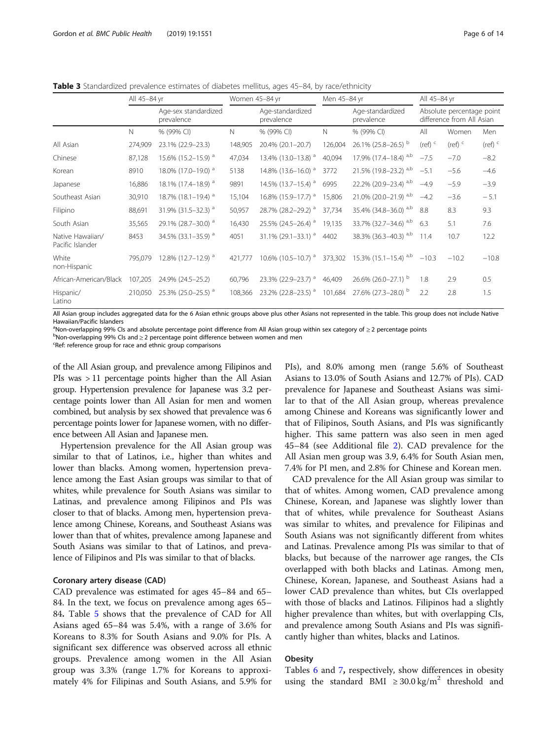<span id="page-5-0"></span>Table 3 Standardized prevalence estimates of diabetes mellitus, ages 45-84, by race/ethnicity

|                                      | All 45-84 yr |                                    | Women 45-84 yr |                                         | Men 45-84 yr |                                     | All 45-84 yr         |                                                        |                      |
|--------------------------------------|--------------|------------------------------------|----------------|-----------------------------------------|--------------|-------------------------------------|----------------------|--------------------------------------------------------|----------------------|
|                                      |              | Age-sex standardized<br>prevalence |                | Age-standardized<br>prevalence          |              | Age-standardized<br>prevalence      |                      | Absolute percentage point<br>difference from All Asian |                      |
|                                      | $\mathsf{N}$ | % (99% CI)                         | N              | % (99% CI)                              | $\mathbb N$  | % (99% CI)                          | All                  | Women                                                  | Men                  |
| All Asian                            | 274,909      | 23.1% (22.9-23.3)                  | 148,905        | 20.4% (20.1-20.7)                       | 126,004      | 26.1% (25.8-26.5) b                 | $(ref)$ <sup>c</sup> | $(ref)$ <sup>c</sup>                                   | $(ref)$ <sup>c</sup> |
| Chinese                              | 87,128       | 15.6% (15.2-15.9) <sup>a</sup>     | 47,034         | 13.4% (13.0-13.8) <sup>a</sup>          | 40,094       | 17.9% (17.4–18.4) a,b               | $-7.5$               | $-7.0$                                                 | $-8.2$               |
| Korean                               | 8910         | 18.0% (17.0-19.0) <sup>a</sup>     | 5138           | 14.8% (13.6-16.0) <sup>a</sup>          | 3772         | 21.5% (19.8-23.2) a,b               | $-5.1$               | $-5.6$                                                 | $-4.6$               |
| Japanese                             | 16,886       | 18.1% (17.4-18.9) <sup>a</sup>     | 9891           | 14.5% $(13.7-15.4)$ <sup>a</sup>        | 6995         | 22.2% (20.9-23.4) a,b               | $-4.9$               | $-5.9$                                                 | $-3.9$               |
| Southeast Asian                      | 30,910       | 18.7% (18.1-19.4) <sup>a</sup>     | 15,104         | 16.8% (15.9–17.7) <sup>a</sup>          | 15,806       | 21.0% (20.0-21.9) a,b               | $-4.2$               | $-3.6$                                                 | $-5.1$               |
| Filipino                             | 88,691       | 31.9% $(31.5-32.3)$ <sup>a</sup>   | 50,957         | 28.7% (28.2-29.2) <sup>a</sup>          | 37,734       | 35.4% (34.8-36.0) a,b               | 8.8                  | 8.3                                                    | 9.3                  |
| South Asian                          | 35,565       | 29.1% (28.7-30.0) <sup>a</sup>     | 16,430         | $25.5\%$ (24.5-26.4) <sup>a</sup>       | 19.135       | 33.7% (32.7-34.6) a,b               | 6.3                  | 5.1                                                    | 7.6                  |
| Native Hawaiian/<br>Pacific Islander | 8453         | 34.5% (33.1-35.9) <sup>a</sup>     | 4051           | 31.1% (29.1–33.1) <sup>a</sup>          | 4402         | 38.3% (36.3-40.3) a,b               | 11.4                 | 10.7                                                   | 12.2                 |
| White<br>non-Hispanic                | 795,079      | 12.8% (12.7-12.9) <sup>a</sup>     | 421,777        | 10.6% (10.5–10.7) $\textsuperscript{a}$ | 373,302      | $15.3\%$ (15.1–15.4) <sup>a,b</sup> | $-10.3$              | $-10.2$                                                | $-10.8$              |
| African-American/Black               | 107,205      | 24.9% (24.5-25.2)                  | 60,796         | 23.3% (22.9-23.7) <sup>a</sup>          | 46,409       | 26.6% (26.0-27.1) b                 | 1.8                  | 2.9                                                    | 0.5                  |
| Hispanic/<br>Latino                  | 210,050      | 25.3% (25.0-25.5) <sup>a</sup>     | 108,366        | 23.2% (22.8-23.5) <sup>a</sup>          | 101,684      | 27.6% (27.3-28.0) <sup>b</sup>      | 2.2                  | 2.8                                                    | 1.5                  |

All Asian group includes aggregated data for the 6 Asian ethnic groups above plus other Asians not represented in the table. This group does not include Native Hawaiian/Pacific Islanders

<sup>a</sup>Non-overlapping 99% CIs and absolute percentage point difference from All Asian group within sex category of ≥ 2 percentage points<br><sup>b</sup>Non-overlapping 99% CIs and > 2 percentage point difference between women and men

<sup>b</sup>Non-overlapping 99% Cls and ≥ 2 percentage point difference between women and men

Ref: reference group for race and ethnic group comparisons

of the All Asian group, and prevalence among Filipinos and PIs was > 11 percentage points higher than the All Asian group. Hypertension prevalence for Japanese was 3.2 percentage points lower than All Asian for men and women combined, but analysis by sex showed that prevalence was 6 percentage points lower for Japanese women, with no difference between All Asian and Japanese men.

Hypertension prevalence for the All Asian group was similar to that of Latinos, i.e., higher than whites and lower than blacks. Among women, hypertension prevalence among the East Asian groups was similar to that of whites, while prevalence for South Asians was similar to Latinas, and prevalence among Filipinos and PIs was closer to that of blacks. Among men, hypertension prevalence among Chinese, Koreans, and Southeast Asians was lower than that of whites, prevalence among Japanese and South Asians was similar to that of Latinos, and prevalence of Filipinos and PIs was similar to that of blacks.

# Coronary artery disease (CAD)

CAD prevalence was estimated for ages 45–84 and 65– 84. In the text, we focus on prevalence among ages 65– 84. Table [5](#page-6-0) shows that the prevalence of CAD for All Asians aged 65–84 was 5.4%, with a range of 3.6% for Koreans to 8.3% for South Asians and 9.0% for PIs. A significant sex difference was observed across all ethnic groups. Prevalence among women in the All Asian group was 3.3% (range 1.7% for Koreans to approximately 4% for Filipinas and South Asians, and 5.9% for

PIs), and 8.0% among men (range 5.6% of Southeast Asians to 13.0% of South Asians and 12.7% of PIs). CAD prevalence for Japanese and Southeast Asians was similar to that of the All Asian group, whereas prevalence among Chinese and Koreans was significantly lower and that of Filipinos, South Asians, and PIs was significantly higher. This same pattern was also seen in men aged 45–84 (see Additional file [2\)](#page-12-0). CAD prevalence for the All Asian men group was 3.9, 6.4% for South Asian men, 7.4% for PI men, and 2.8% for Chinese and Korean men.

CAD prevalence for the All Asian group was similar to that of whites. Among women, CAD prevalence among Chinese, Korean, and Japanese was slightly lower than that of whites, while prevalence for Southeast Asians was similar to whites, and prevalence for Filipinas and South Asians was not significantly different from whites and Latinas. Prevalence among PIs was similar to that of blacks, but because of the narrower age ranges, the CIs overlapped with both blacks and Latinas. Among men, Chinese, Korean, Japanese, and Southeast Asians had a lower CAD prevalence than whites, but CIs overlapped with those of blacks and Latinos. Filipinos had a slightly higher prevalence than whites, but with overlapping CIs, and prevalence among South Asians and PIs was significantly higher than whites, blacks and Latinos.

# **Obesity**

Tables [6](#page-7-0) and [7](#page-7-0), respectively, show differences in obesity using the standard BMI  $\geq 30.0 \text{ kg/m}^2$  threshold and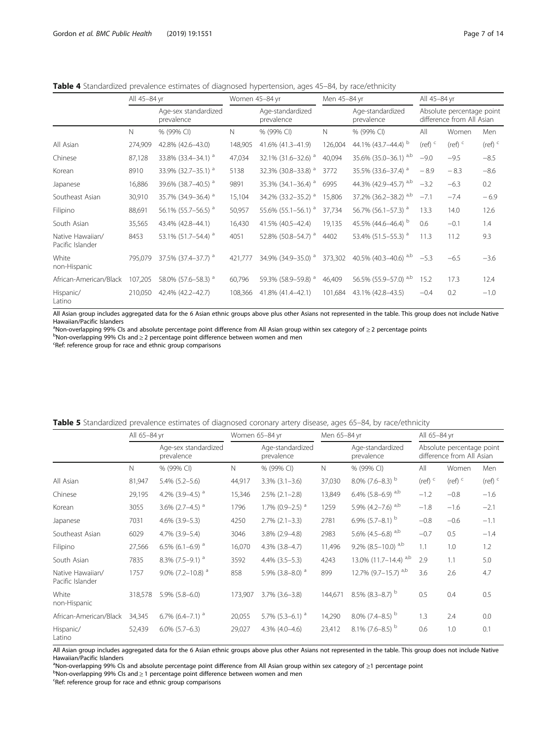<span id="page-6-0"></span>Table 4 Standardized prevalence estimates of diagnosed hypertension, ages 45-84, by race/ethnicity

|                                      | All 45-84 yr |                                    | Women 45-84 yr |                                | Men 45-84 yr |                                | All 45-84 yr         |                                                        |                      |
|--------------------------------------|--------------|------------------------------------|----------------|--------------------------------|--------------|--------------------------------|----------------------|--------------------------------------------------------|----------------------|
|                                      |              | Age-sex standardized<br>prevalence |                | Age-standardized<br>prevalence |              | Age-standardized<br>prevalence |                      | Absolute percentage point<br>difference from All Asian |                      |
|                                      | Ν            | % (99% CI)                         | $\mathsf{N}$   | % (99% CI)                     | $\mathbb N$  | % (99% CI)                     | All                  | Women                                                  | Men                  |
| All Asian                            | 274,909      | 42.8% (42.6-43.0)                  | 148,905        | 41.6% (41.3-41.9)              | 126,004      | 44.1% (43.7-44.4) b            | $(ref)$ <sup>c</sup> | $(ref)$ <sup>c</sup>                                   | $(ref)$ <sup>c</sup> |
| Chinese                              | 87,128       | 33.8% (33.4-34.1) <sup>a</sup>     | 47,034         | 32.1% (31.6-32.6) <sup>a</sup> | 40,094       | 35.6% (35.0-36.1) a,b          | $-9.0$               | $-9.5$                                                 | $-8.5$               |
| Korean                               | 8910         | 33.9% (32.7-35.1) <sup>a</sup>     | 5138           | 32.3% (30.8-33.8) <sup>a</sup> | 3772         | 35.5% (33.6-37.4) <sup>a</sup> | $-8.9$               | $-8.3$                                                 | $-8.6$               |
| Japanese                             | 16,886       | 39.6% (38.7-40.5) <sup>a</sup>     | 9891           | 35.3% (34.1-36.4) $a^2$        | 6995         | 44.3% (42.9-45.7) a,b          | $-3.2$               | $-6.3$                                                 | 0.2                  |
| Southeast Asian                      | 30,910       | 35.7% (34.9-36.4) <sup>a</sup>     | 15,104         | 34.2% (33.2-35.2) <sup>a</sup> | 15,806       | 37.2% (36.2-38.2) a,b          | $-7.1$               | $-7.4$                                                 | $-6.9$               |
| Filipino                             | 88,691       | 56.1% (55.7–56.5) <sup>a</sup>     | 50,957         | 55.6% $(55.1 - 56.1)^{a}$      | 37,734       | 56.7% (56.1–57.3) <sup>a</sup> | 13.3                 | 14.0                                                   | 12.6                 |
| South Asian                          | 35,565       | 43.4% (42.8-44.1)                  | 16,430         | 41.5% (40.5-42.4)              | 19,135       | 45.5% (44.6-46.4) b            | 0.6                  | $-0.1$                                                 | 1.4                  |
| Native Hawaiian/<br>Pacific Islander | 8453         | 53.1% (51.7-54.4) <sup>a</sup>     | 4051           | 52.8% (50.8-54.7) <sup>a</sup> | 4402         | 53.4% (51.5-55.3) <sup>a</sup> | 11.3                 | 11.2                                                   | 9.3                  |
| White<br>non-Hispanic                | 795,079      | $37.5\%$ (37.4–37.7) <sup>a</sup>  | 421,777        | 34.9% (34.9-35.0) <sup>a</sup> | 373,302      | 40.5% (40.3–40.6) $a,b$        | $-5.3$               | $-6.5$                                                 | $-3.6$               |
| African-American/Black               | 107,205      | 58.0% (57.6-58.3) <sup>a</sup>     | 60,796         | 59.3% (58.9-59.8) <sup>a</sup> | 46,409       | 56.5% (55.9-57.0) a,b          | 15.2                 | 17.3                                                   | 12.4                 |
| Hispanic/<br>Latino                  | 210,050      | 42.4% (42.2-42.7)                  | 108,366        | 41.8% (41.4-42.1)              | 101,684      | 43.1% (42.8-43.5)              | $-0.4$               | 0.2                                                    | $-1.0$               |

All Asian group includes aggregated data for the 6 Asian ethnic groups above plus other Asians not represented in the table. This group does not include Native Hawaiian/Pacific Islanders

<sup>a</sup>Non-overlapping 99% CIs and absolute percentage point difference from All Asian group within sex category of ≥ 2 percentage points<br><sup>b</sup>Non-overlapping 99% CIs and > 2 percentage point difference between women and men Non-overlapping 33% CIs and ≥ 2 percentage point difference between women and men

Ref: reference group for race and ethnic group comparisons

| Table 5 Standardized prevalence estimates of diagnosed coronary artery disease, ages 65-84, by race/ethnicity |  |
|---------------------------------------------------------------------------------------------------------------|--|
|---------------------------------------------------------------------------------------------------------------|--|

|                                      | All 65-84 yr |                                    | Women 65-84 yr |                                | Men 65-84 yr |                                  | All 65-84 yr         |                                                        |                      |
|--------------------------------------|--------------|------------------------------------|----------------|--------------------------------|--------------|----------------------------------|----------------------|--------------------------------------------------------|----------------------|
|                                      |              | Age-sex standardized<br>prevalence |                | Age-standardized<br>prevalence |              | Age-standardized<br>prevalence   |                      | Absolute percentage point<br>difference from All Asian |                      |
|                                      | N            | % (99% CI)                         | $\mathbb N$    | % (99% CI)                     | $\mathbb N$  | % (99% CI)                       | All                  | Women                                                  | Men                  |
| All Asian                            | 81,947       | $5.4\%$ $(5.2-5.6)$                | 44,917         | $3.3\%$ $(3.1-3.6)$            | 37,030       | 8.0% (7.6–8.3) $^{\rm b}$        | $(ref)$ <sup>c</sup> | $(ref)$ <sup>c</sup>                                   | $(ref)$ <sup>c</sup> |
| Chinese                              | 29,195       | 4.2% $(3.9-4.5)$ <sup>a</sup>      | 15,346         | $2.5\%$ $(2.1-2.8)$            | 13,849       | 6.4% $(5.8-6.9)$ <sup>a,b</sup>  | $-1.2$               | $-0.8$                                                 | $-1.6$               |
| Korean                               | 3055         | 3.6% $(2.7-4.5)$ <sup>a</sup>      | 1796           | 1.7% $(0.9-2.5)$ <sup>a</sup>  | 1259         | 5.9% $(4.2-7.6)$ <sup>a,b</sup>  | $-1.8$               | $-1.6$                                                 | $-2.1$               |
| Japanese                             | 7031         | $4.6\%$ $(3.9-5.3)$                | 4250           | $2.7\%$ $(2.1-3.3)$            | 2781         | 6.9% $(5.7-8.1)$ <sup>b</sup>    | $-0.8$               | $-0.6$                                                 | $-1.1$               |
| Southeast Asian                      | 6029         | 4.7% (3.9-5.4)                     | 3046           | 3.8% (2.9-4.8)                 | 2983         | 5.6% (4.5-6.8) $a,b$             | $-0.7$               | 0.5                                                    | $-1.4$               |
| Filipino                             | 27,566       | 6.5% (6.1-6.9) $a$                 | 16,070         | $4.3\%$ $(3.8-4.7)$            | 11,496       | 9.2% $(8.5-10.0)$ <sup>a,b</sup> | 1.1                  | 1.0                                                    | 1.2                  |
| South Asian                          | 7835         | 8.3% $(7.5-9.1)$ <sup>a</sup>      | 3592           | $4.4\%$ $(3.5-5.3)$            | 4243         | 13.0% (11.7–14.4) a,b            | 2.9                  | 1.1                                                    | 5.0                  |
| Native Hawaiian/<br>Pacific Islander | 1757         | $9.0\%$ (7.2-10.8) <sup>a</sup>    | 858            | 5.9% $(3.8-8.0)$ <sup>a</sup>  | 899          | 12.7% (9.7-15.7) a,b             | 3.6                  | 2.6                                                    | 4.7                  |
| White<br>non-Hispanic                | 318,578      | $5.9\%$ $(5.8-6.0)$                | 173,907        | $3.7\%$ $(3.6-3.8)$            | 144,671      | 8.5% (8.3-8.7) $^{\rm b}$        | 0.5                  | 0.4                                                    | 0.5                  |
| African-American/Black               | 34,345       | 6.7% (6.4-7.1) $a$                 | 20,055         | 5.7% $(5.3-6.1)$ <sup>a</sup>  | 14,290       | 8.0% $(7.4-8.5)$ <sup>b</sup>    | 1.3                  | 2.4                                                    | 0.0                  |
| Hispanic/<br>Latino                  | 52,439       | $6.0\%$ $(5.7-6.3)$                | 29,027         | $4.3\%$ $(4.0-4.6)$            | 23,412       | 8.1% $(7.6-8.5)$ <sup>b</sup>    | 0.6                  | 1.0                                                    | 0.1                  |

All Asian group includes aggregated data for the 6 Asian ethnic groups above plus other Asians not represented in the table. This group does not include Native Hawaiian/Pacific Islanders

aNon-overlapping 99% CIs and absolute percentage point difference from All Asian group within sex category of ≥1 percentage point by the point of the process of the process of the process of the process of the process of

Non-overlapping 99% CIs and ≥ 1 percentage point difference between women and men

Ref: reference group for race and ethnic group comparisons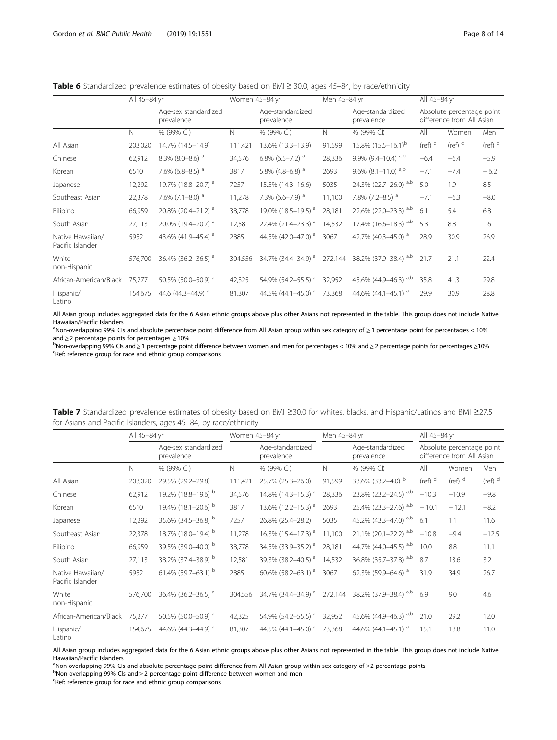<span id="page-7-0"></span>Table 6 Standardized prevalence estimates of obesity based on BMI ≥ 30.0, ages 45–84, by race/ethnicity

|                                      | All 45-84 yr |                                    | Women 45-84 yr |                                 | Men 45-84 yr |                                    | All 45-84 yr         |                                                        |           |
|--------------------------------------|--------------|------------------------------------|----------------|---------------------------------|--------------|------------------------------------|----------------------|--------------------------------------------------------|-----------|
|                                      |              | Age-sex standardized<br>prevalence |                | Age-standardized<br>prevalence  |              | Age-standardized<br>prevalence     |                      | Absolute percentage point<br>difference from All Asian |           |
|                                      | Ν            | % (99% CI)                         | N              | % (99% CI)                      | $\mathbb N$  | % (99% CI)                         | All                  | Women                                                  | Men       |
| All Asian                            | 203,020      | 14.7% (14.5-14.9)                  | 111,421        | 13.6% (13.3-13.9)               | 91,599       | $15.8\%$ $(15.5-16.1)^b$           | $(ref)$ <sup>c</sup> | $(ref)$ <sup>c</sup>                                   | (ref) $c$ |
| Chinese                              | 62,912       | 8.3% (8.0-8.6) $a$                 | 34,576         | 6.8% (6.5-7.2) $^a$             | 28,336       | 9.9% $(9.4 - 10.4)$ <sup>a,b</sup> | $-6.4$               | $-6.4$                                                 | $-5.9$    |
| Korean                               | 6510         | 7.6% (6.8-8.5) $^a$                | 3817           | 5.8% (4.8-6.8) $^a$             | 2693         | 9.6% $(8.1-11.0)$ <sup>a,b</sup>   | $-7.1$               | $-7.4$                                                 | $-6.2$    |
| Japanese                             | 12,292       | 19.7% (18.8-20.7) <sup>a</sup>     | 7257           | 15.5% (14.3-16.6)               | 5035         | 24.3% (22.7-26.0) a,b              | 5.0                  | 1.9                                                    | 8.5       |
| Southeast Asian                      | 22,378       | 7.6% $(7.1 - 8.0)$ <sup>a</sup>    | 11,278         | 7.3% $(6.6 - 7.9)$ <sup>a</sup> | 11,100       | 7.8% (7.2-8.5) <sup>a</sup>        | $-7.1$               | $-6.3$                                                 | $-8.0$    |
| Filipino                             | 66,959       | 20.8% (20.4-21.2) <sup>a</sup>     | 38,778         | 19.0% (18.5-19.5) <sup>a</sup>  | 28,181       | 22.6% (22.0-23.3) a,b              | 6.1                  | 5.4                                                    | 6.8       |
| South Asian                          | 27,113       | 20.0% (19.4-20.7) <sup>a</sup>     | 12,581         | 22.4% (21.4-23.3) <sup>a</sup>  | 14,532       | 17.4% (16.6-18.3) a,b              | 5.3                  | 8.8                                                    | 1.6       |
| Native Hawaiian/<br>Pacific Islander | 5952         | 43.6% (41.9-45.4) <sup>a</sup>     | 2885           | 44.5% (42.0-47.0) <sup>a</sup>  | 3067         | 42.7% (40.3-45.0) <sup>a</sup>     | 28.9                 | 30.9                                                   | 26.9      |
| White<br>non-Hispanic                | 576.700      | 36.4% (36.2-36.5) <sup>a</sup>     | 304,556        | 34.7% (34.4-34.9) <sup>a</sup>  | 272,144      | 38.2% (37.9-38.4) a,b              | 21.7                 | 21.1                                                   | 22.4      |
| African-American/Black               | 75,277       | 50.5% (50.0-50.9) <sup>a</sup>     | 42,325         | 54.9% $(54.2 - 55.5)^{a}$       | 32,952       | 45.6% (44.9-46.3) a,b              | 35.8                 | 41.3                                                   | 29.8      |
| Hispanic/<br>Latino                  | 154,675      | 44.6 $(44.3 - 44.9)$ <sup>a</sup>  | 81,307         | 44.5% (44.1-45.0) <sup>a</sup>  | 73,368       | 44.6% $(44.1 - 45.1)^{a}$          | 29.9                 | 30.9                                                   | 28.8      |

All Asian group includes aggregated data for the 6 Asian ethnic groups above plus other Asians not represented in the table. This group does not include Native Hawaiian/Pacific Islanders

a<br>Non-overlapping 99% CIs and absolute percentage point difference from All Asian group within sex category of ≥ 1 percentage point for percentages < 10% and  $\geq$  2 percentage points for percentages  $\geq$  10%

<sup>b</sup>Non-overlapping 99% CIs and ≥ 1 percentage point difference between women and men for percentages < 10% and ≥ 2 percentage points for percentages ≥10% Ref: reference group for race and ethnic group comparisons

|  | <b>Table 7</b> Standardized prevalence estimates of obesity based on BMI 230.0 for whites, blacks, and Hispanic/Latinos and BMI 227.5 |  |  |  |  |
|--|---------------------------------------------------------------------------------------------------------------------------------------|--|--|--|--|
|  | for Asians and Pacific Islanders, ages 45–84, by race/ethnicity                                                                       |  |  |  |  |

|                                      | All 45-84 yr |                                    | Women 45-84 yr |                                | Men 45-84 yr |                                  | All 45-84 yr         |                                                        |                      |
|--------------------------------------|--------------|------------------------------------|----------------|--------------------------------|--------------|----------------------------------|----------------------|--------------------------------------------------------|----------------------|
|                                      |              | Age-sex standardized<br>prevalence |                | Age-standardized<br>prevalence |              | Age-standardized<br>prevalence   |                      | Absolute percentage point<br>difference from All Asian |                      |
|                                      | N            | % (99% CI)                         | N              | % (99% CI)                     | $\mathbb N$  | % (99% CI)                       | All                  | Women                                                  | Men                  |
| All Asian                            | 203,020      | 29.5% (29.2-29.8)                  | 111,421        | 25.7% (25.3-26.0)              | 91,599       | 33.6% (33.2-4.0) b               | $(ref)$ <sup>d</sup> | $(ref)$ <sup>d</sup>                                   | $(ref)$ <sup>d</sup> |
| Chinese                              | 62,912       | 19.2% (18.8-19.6) b                | 34,576         | 14.8% (14.3-15.3) <sup>a</sup> | 28,336       | 23.8% (23.2-24.5) a,b            | $-10.3$              | $-10.9$                                                | $-9.8$               |
| Korean                               | 6510         | 19.4% (18.1-20.6) b                | 3817           | 13.6% (12.2-15.3) <sup>a</sup> | 2693         | 25.4% (23.3-27.6) a,b            | $-10.1$              | $-12.1$                                                | $-8.2$               |
| Japanese                             | 12,292       | 35.6% (34.5-36.8) b                | 7257           | 26.8% (25.4-28.2)              | 5035         | 45.2% (43.3-47.0) a,b            | 6.1                  | 1.1                                                    | 11.6                 |
| Southeast Asian                      | 22,378       | 18.7% (18.0-19.4) b                | 11,278         | 16.3% (15.4–17.3) <sup>a</sup> | 11,100       | 21.1% (20.1-22.2) a,b            | $-10.8$              | $-9.4$                                                 | $-12.5$              |
| Filipino                             | 66,959       | 39.5% (39.0-40.0) b                | 38,778         | 34.5% (33.9-35.2) <sup>a</sup> | 28.181       | 44.7% (44.0-45.5) <sup>a,b</sup> | 10.0                 | 8.8                                                    | 11.1                 |
| South Asian                          | 27,113       | 38.2% (37.4-38.9) b                | 12,581         | 39.3% (38.2-40.5) <sup>a</sup> | 14,532       | 36.8% (35.7-37.8) a,b            | 8.7                  | 13.6                                                   | 3.2                  |
| Native Hawaiian/<br>Pacific Islander | 5952         | 61.4% (59.7–63.1) <sup>b</sup>     | 2885           | 60.6% (58.2-63.1) <sup>a</sup> | 3067         | 62.3% (59.9-64.6) <sup>a</sup>   | 31.9                 | 34.9                                                   | 26.7                 |
| White<br>non-Hispanic                | 576,700      | 36.4% (36.2-36.5) <sup>a</sup>     | 304,556        | 34.7% (34.4-34.9) <sup>a</sup> | 272,144      | 38.2% (37.9-38.4) a,b            | 6.9                  | 9.0                                                    | 4.6                  |
| African-American/Black               | 75,277       | 50.5% (50.0-50.9) <sup>a</sup>     | 42,325         | 54.9% (54.2-55.5) <sup>a</sup> | 32,952       | 45.6% (44.9-46.3) a,b            | 21.0                 | 29.2                                                   | 12.0                 |
| Hispanic/<br>Latino                  | 154,675      | 44.6% (44.3-44.9) <sup>a</sup>     | 81,307         | 44.5% (44.1-45.0) <sup>a</sup> | 73,368       | 44.6% (44.1-45.1) <sup>a</sup>   | 15.1                 | 18.8                                                   | 11.0                 |

All Asian group includes aggregated data for the 6 Asian ethnic groups above plus other Asians not represented in the table. This group does not include Native Hawaiian/Pacific Islanders

<sup>a</sup>Non-overlapping 99% CIs and absolute percentage point difference from All Asian group within sex category of ≥2 percentage points between the basic property of a structure and the basic points between warm and mone

b<br>Non-overlapping 99% Cls and ≥ 2 percentage point difference between women and men

Ref: reference group for race and ethnic group comparisons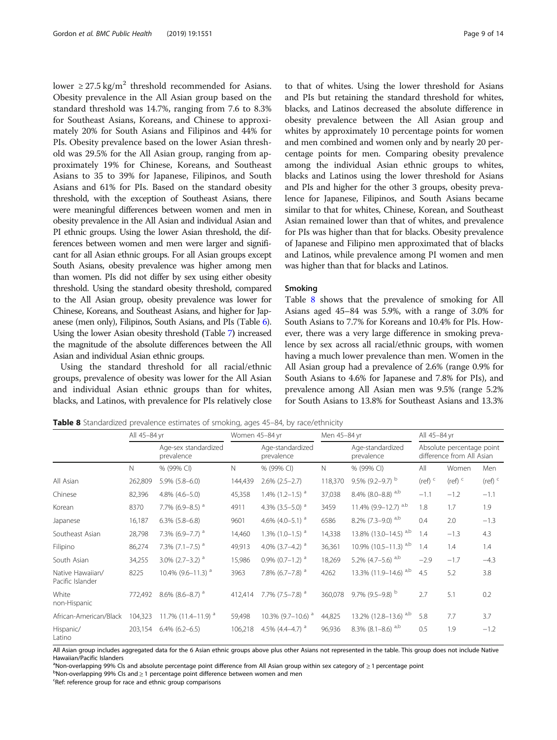lower ≥ 27.5 kg/m<sup>2</sup> threshold recommended for Asians. Obesity prevalence in the All Asian group based on the standard threshold was 14.7%, ranging from 7.6 to 8.3% for Southeast Asians, Koreans, and Chinese to approximately 20% for South Asians and Filipinos and 44% for PIs. Obesity prevalence based on the lower Asian threshold was 29.5% for the All Asian group, ranging from approximately 19% for Chinese, Koreans, and Southeast Asians to 35 to 39% for Japanese, Filipinos, and South Asians and 61% for PIs. Based on the standard obesity threshold, with the exception of Southeast Asians, there were meaningful differences between women and men in obesity prevalence in the All Asian and individual Asian and PI ethnic groups. Using the lower Asian threshold, the differences between women and men were larger and significant for all Asian ethnic groups. For all Asian groups except South Asians, obesity prevalence was higher among men than women. PIs did not differ by sex using either obesity threshold. Using the standard obesity threshold, compared to the All Asian group, obesity prevalence was lower for Chinese, Koreans, and Southeast Asians, and higher for Japanese (men only), Filipinos, South Asians, and PIs (Table [6](#page-7-0)). Using the lower Asian obesity threshold (Table [7](#page-7-0)) increased the magnitude of the absolute differences between the All Asian and individual Asian ethnic groups.

Using the standard threshold for all racial/ethnic groups, prevalence of obesity was lower for the All Asian and individual Asian ethnic groups than for whites, blacks, and Latinos, with prevalence for PIs relatively close

to that of whites. Using the lower threshold for Asians and PIs but retaining the standard threshold for whites, blacks, and Latinos decreased the absolute difference in obesity prevalence between the All Asian group and whites by approximately 10 percentage points for women and men combined and women only and by nearly 20 percentage points for men. Comparing obesity prevalence among the individual Asian ethnic groups to whites, blacks and Latinos using the lower threshold for Asians and PIs and higher for the other 3 groups, obesity prevalence for Japanese, Filipinos, and South Asians became similar to that for whites, Chinese, Korean, and Southeast Asian remained lower than that of whites, and prevalence for PIs was higher than that for blacks. Obesity prevalence of Japanese and Filipino men approximated that of blacks and Latinos, while prevalence among PI women and men was higher than that for blacks and Latinos.

# Smoking

Table 8 shows that the prevalence of smoking for All Asians aged 45–84 was 5.9%, with a range of 3.0% for South Asians to 7.7% for Koreans and 10.4% for PIs. However, there was a very large difference in smoking prevalence by sex across all racial/ethnic groups, with women having a much lower prevalence than men. Women in the All Asian group had a prevalence of 2.6% (range 0.9% for South Asians to 4.6% for Japanese and 7.8% for PIs), and prevalence among All Asian men was 9.5% (range 5.2% for South Asians to 13.8% for Southeast Asians and 13.3%

Table 8 Standardized prevalence estimates of smoking, ages 45-84, by race/ethnicity

|                                      | All 45-84 yr |                                    | Women 45-84 yr |                                | Men 45-84 yr |                                 | All 45-84 yr         |                                                        |                      |
|--------------------------------------|--------------|------------------------------------|----------------|--------------------------------|--------------|---------------------------------|----------------------|--------------------------------------------------------|----------------------|
|                                      |              | Age-sex standardized<br>prevalence |                | Age-standardized<br>prevalence |              | Age-standardized<br>prevalence  |                      | Absolute percentage point<br>difference from All Asian |                      |
|                                      | N            | % (99% CI)                         | $\mathbb N$    | % (99% CI)                     | N            | % (99% CI)                      | All                  | Women                                                  | Men                  |
| All Asian                            | 262,809      | $5.9\%$ $(5.8-6.0)$                | 144,439        | $2.6\%$ $(2.5-2.7)$            | 118,370      | $9.5\%$ (9.2-9.7) <sup>b</sup>  | $(ref)$ <sup>c</sup> | $(ref)$ <sup>c</sup>                                   | $(ref)$ <sup>c</sup> |
| Chinese                              | 82,396       | $4.8\%$ $(4.6 - 5.0)$              | 45,358         | 1.4% $(1.2-1.5)$ <sup>a</sup>  | 37,038       | 8.4% (8.0-8.8) $a,b$            | $-1.1$               | $-1.2$                                                 | $-1.1$               |
| Korean                               | 8370         | 7.7% (6.9-8.5) $^a$                | 4911           | 4.3% $(3.5-5.0)^{a}$           | 3459         | 11.4% (9.9-12.7) a.b            | 1.8                  | 1.7                                                    | 1.9                  |
| Japanese                             | 16,187       | $6.3\%$ $(5.8-6.8)$                | 9601           | 4.6% $(4.0-5.1)$ <sup>a</sup>  | 6586         | 8.2% $(7.3-9.0)$ <sup>a,b</sup> | 0.4                  | 2.0                                                    | $-1.3$               |
| Southeast Asian                      | 28,798       | 7.3% (6.9-7.7) <sup>a</sup>        | 14,460         | 1.3% $(1.0-1.5)$ <sup>a</sup>  | 14,338       | 13.8% (13.0-14.5) a,b           | 1.4                  | $-1.3$                                                 | 4.3                  |
| Filipino                             | 86,274       | 7.3% $(7.1 - 7.5)$ <sup>a</sup>    | 49,913         | 4.0% $(3.7-4.2)^{a}$           | 36,361       | 10.9% (10.5-11.3) a,b           | 1.4                  | 1.4                                                    | 1.4                  |
| South Asian                          | 34,255       | 3.0% $(2.7-3.2)$ <sup>a</sup>      | 15,986         | $0.9\%$ (0.7-1.2) <sup>a</sup> | 18,269       | 5.2% $(4.7-5.6)$ <sup>a,b</sup> | $-2.9$               | $-1.7$                                                 | $-4.3$               |
| Native Hawaiian/<br>Pacific Islander | 8225         | 10.4% (9.6-11.3) <sup>a</sup>      | 3963           | 7.8% (6.7-7.8) $^a$            | 4262         | 13.3% (11.9-14.6) a,b           | 4.5                  | 5.2                                                    | 3.8                  |
| White<br>non-Hispanic                | 772,492      | $8.6\%$ (8.6–8.7) <sup>a</sup>     | 412,414        | 7.7% (7.5-7.8) <sup>a</sup>    | 360,078      | 9.7% $(9.5-9.8)$ <sup>b</sup>   | 2.7                  | 5.1                                                    | 0.2                  |
| African-American/Black               | 104,323      | 11.7% $(11.4-11.9)$ <sup>a</sup>   | 59,498         | 10.3% (9.7-10.6) $a^2$         | 44,825       | 13.2% (12.8-13.6) a,b           | 5.8                  | 7.7                                                    | 3.7                  |
| Hispanic/<br>Latino                  | 203,154      | $6.4\%$ $(6.2-6.5)$                | 106,218        | 4.5% $(4.4-4.7)$ <sup>a</sup>  | 96,936       | 8.3% (8.1-8.6) $a,b$            | 0.5                  | 1.9                                                    | $-1.2$               |

All Asian group includes aggregated data for the 6 Asian ethnic groups above plus other Asians not represented in the table. This group does not include Native Hawaiian/Pacific Islanders

<sup>a</sup>Non-overlapping 99% CIs and absolute percentage point difference from All Asian group within sex category of ≥ 1 percentage point<br><sup>b</sup>Non overlapping 89% CIs and > 1 percentage point difference between wemen and men

<sup>b</sup>Non-overlapping 99% CIs and ≥ 1 percentage point difference between women and men

Ref: reference group for race and ethnic group comparisons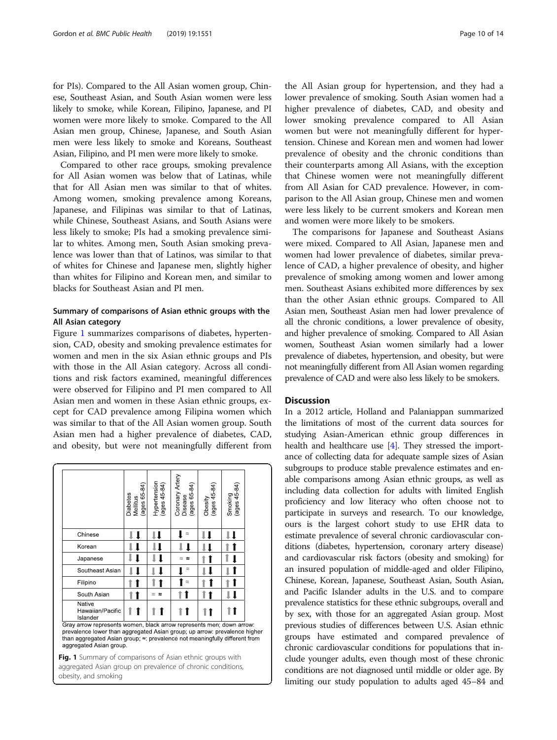for PIs). Compared to the All Asian women group, Chinese, Southeast Asian, and South Asian women were less likely to smoke, while Korean, Filipino, Japanese, and PI women were more likely to smoke. Compared to the All Asian men group, Chinese, Japanese, and South Asian men were less likely to smoke and Koreans, Southeast Asian, Filipino, and PI men were more likely to smoke.

Compared to other race groups, smoking prevalence for All Asian women was below that of Latinas, while that for All Asian men was similar to that of whites. Among women, smoking prevalence among Koreans, Japanese, and Filipinas was similar to that of Latinas, while Chinese, Southeast Asians, and South Asians were less likely to smoke; PIs had a smoking prevalence similar to whites. Among men, South Asian smoking prevalence was lower than that of Latinos, was similar to that of whites for Chinese and Japanese men, slightly higher than whites for Filipino and Korean men, and similar to blacks for Southeast Asian and PI men.

# Summary of comparisons of Asian ethnic groups with the All Asian category

Figure 1 summarizes comparisons of diabetes, hypertension, CAD, obesity and smoking prevalence estimates for women and men in the six Asian ethnic groups and PIs with those in the All Asian category. Across all conditions and risk factors examined, meaningful differences were observed for Filipino and PI men compared to All Asian men and women in these Asian ethnic groups, except for CAD prevalence among Filipina women which was similar to that of the All Asian women group. South Asian men had a higher prevalence of diabetes, CAD, and obesity, but were not meaningfully different from

|                                                                                                                                                                                                                                                            | ages 65-84)<br><b>Diabetes</b><br>Mellitus | Hypertension<br>ages 45 84) | Coronary Artery<br>ages 65-84)<br>Disease | (ages 45-84)<br>Obesity | Smoking<br>(ages 45-84) |  |
|------------------------------------------------------------------------------------------------------------------------------------------------------------------------------------------------------------------------------------------------------------|--------------------------------------------|-----------------------------|-------------------------------------------|-------------------------|-------------------------|--|
| Chinese                                                                                                                                                                                                                                                    |                                            |                             | $\approx$                                 |                         |                         |  |
| Korean                                                                                                                                                                                                                                                     |                                            |                             |                                           |                         |                         |  |
| Japanese                                                                                                                                                                                                                                                   |                                            |                             | ≈                                         |                         |                         |  |
| Southeast Asian                                                                                                                                                                                                                                            |                                            |                             | ≈                                         |                         |                         |  |
| Filipino                                                                                                                                                                                                                                                   |                                            |                             |                                           |                         |                         |  |
| South Asian                                                                                                                                                                                                                                                |                                            | $\approx$                   |                                           |                         |                         |  |
| Native<br>Hawaiian/Pacific<br>Islander                                                                                                                                                                                                                     |                                            |                             |                                           |                         |                         |  |
| Gray arrow represents women, black arrow represents men; down arrow:<br>prevalence lower than aggregated Asian group; up arrow: prevalence higher<br>than aggregated Asian group; ≈: prevalence not meaningfully different from<br>aggregated Asian group. |                                            |                             |                                           |                         |                         |  |

aggregated Asian group on prevalence of chronic conditions, obesity, and smoking

the All Asian group for hypertension, and they had a lower prevalence of smoking. South Asian women had a higher prevalence of diabetes, CAD, and obesity and lower smoking prevalence compared to All Asian women but were not meaningfully different for hypertension. Chinese and Korean men and women had lower prevalence of obesity and the chronic conditions than their counterparts among All Asians, with the exception that Chinese women were not meaningfully different from All Asian for CAD prevalence. However, in comparison to the All Asian group, Chinese men and women were less likely to be current smokers and Korean men and women were more likely to be smokers.

The comparisons for Japanese and Southeast Asians were mixed. Compared to All Asian, Japanese men and women had lower prevalence of diabetes, similar prevalence of CAD, a higher prevalence of obesity, and higher prevalence of smoking among women and lower among men. Southeast Asians exhibited more differences by sex than the other Asian ethnic groups. Compared to All Asian men, Southeast Asian men had lower prevalence of all the chronic conditions, a lower prevalence of obesity, and higher prevalence of smoking. Compared to All Asian women, Southeast Asian women similarly had a lower prevalence of diabetes, hypertension, and obesity, but were not meaningfully different from All Asian women regarding prevalence of CAD and were also less likely to be smokers.

# **Discussion**

In a 2012 article, Holland and Palaniappan summarized the limitations of most of the current data sources for studying Asian-American ethnic group differences in health and healthcare use  $[4]$  $[4]$ . They stressed the importance of collecting data for adequate sample sizes of Asian subgroups to produce stable prevalence estimates and enable comparisons among Asian ethnic groups, as well as including data collection for adults with limited English proficiency and low literacy who often choose not to participate in surveys and research. To our knowledge, ours is the largest cohort study to use EHR data to estimate prevalence of several chronic cardiovascular conditions (diabetes, hypertension, coronary artery disease) and cardiovascular risk factors (obesity and smoking) for an insured population of middle-aged and older Filipino, Chinese, Korean, Japanese, Southeast Asian, South Asian, and Pacific Islander adults in the U.S. and to compare prevalence statistics for these ethnic subgroups, overall and by sex, with those for an aggregated Asian group. Most previous studies of differences between U.S. Asian ethnic groups have estimated and compared prevalence of chronic cardiovascular conditions for populations that include younger adults, even though most of these chronic conditions are not diagnosed until middle or older age. By limiting our study population to adults aged 45–84 and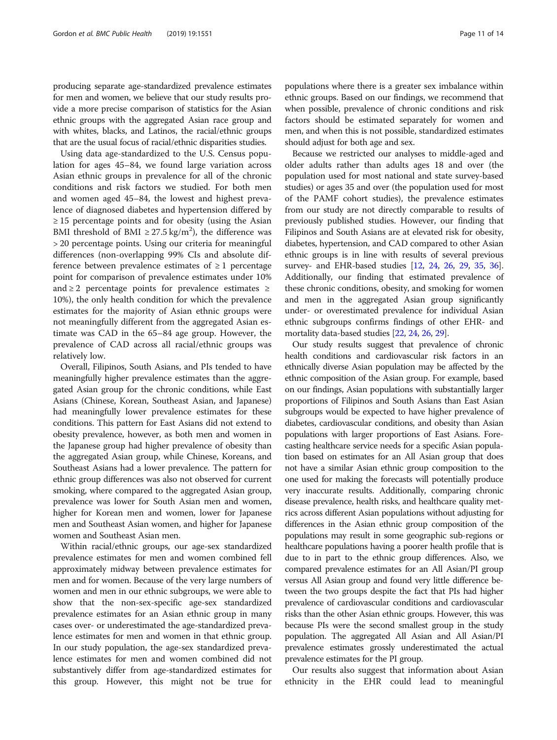producing separate age-standardized prevalence estimates for men and women, we believe that our study results provide a more precise comparison of statistics for the Asian ethnic groups with the aggregated Asian race group and with whites, blacks, and Latinos, the racial/ethnic groups that are the usual focus of racial/ethnic disparities studies.

Using data age-standardized to the U.S. Census population for ages 45–84, we found large variation across Asian ethnic groups in prevalence for all of the chronic conditions and risk factors we studied. For both men and women aged 45–84, the lowest and highest prevalence of diagnosed diabetes and hypertension differed by  $\geq$  15 percentage points and for obesity (using the Asian BMI threshold of BMI  $\geq$  27.5 kg/m<sup>2</sup>), the difference was > 20 percentage points. Using our criteria for meaningful differences (non-overlapping 99% CIs and absolute difference between prevalence estimates of  $\geq 1$  percentage point for comparison of prevalence estimates under 10% and  $\geq 2$  percentage points for prevalence estimates  $\geq$ 10%), the only health condition for which the prevalence estimates for the majority of Asian ethnic groups were not meaningfully different from the aggregated Asian estimate was CAD in the 65–84 age group. However, the prevalence of CAD across all racial/ethnic groups was relatively low.

Overall, Filipinos, South Asians, and PIs tended to have meaningfully higher prevalence estimates than the aggregated Asian group for the chronic conditions, while East Asians (Chinese, Korean, Southeast Asian, and Japanese) had meaningfully lower prevalence estimates for these conditions. This pattern for East Asians did not extend to obesity prevalence, however, as both men and women in the Japanese group had higher prevalence of obesity than the aggregated Asian group, while Chinese, Koreans, and Southeast Asians had a lower prevalence. The pattern for ethnic group differences was also not observed for current smoking, where compared to the aggregated Asian group, prevalence was lower for South Asian men and women, higher for Korean men and women, lower for Japanese men and Southeast Asian women, and higher for Japanese women and Southeast Asian men.

Within racial/ethnic groups, our age-sex standardized prevalence estimates for men and women combined fell approximately midway between prevalence estimates for men and for women. Because of the very large numbers of women and men in our ethnic subgroups, we were able to show that the non-sex-specific age-sex standardized prevalence estimates for an Asian ethnic group in many cases over- or underestimated the age-standardized prevalence estimates for men and women in that ethnic group. In our study population, the age-sex standardized prevalence estimates for men and women combined did not substantively differ from age-standardized estimates for this group. However, this might not be true for populations where there is a greater sex imbalance within ethnic groups. Based on our findings, we recommend that when possible, prevalence of chronic conditions and risk factors should be estimated separately for women and men, and when this is not possible, standardized estimates should adjust for both age and sex.

Because we restricted our analyses to middle-aged and older adults rather than adults ages 18 and over (the population used for most national and state survey-based studies) or ages 35 and over (the population used for most of the PAMF cohort studies), the prevalence estimates from our study are not directly comparable to results of previously published studies. However, our finding that Filipinos and South Asians are at elevated risk for obesity, diabetes, hypertension, and CAD compared to other Asian ethnic groups is in line with results of several previous survey- and EHR-based studies [\[12,](#page-13-0) [24](#page-13-0), [26](#page-13-0), [29,](#page-13-0) [35](#page-13-0), [36](#page-13-0)]. Additionally, our finding that estimated prevalence of these chronic conditions, obesity, and smoking for women and men in the aggregated Asian group significantly under- or overestimated prevalence for individual Asian ethnic subgroups confirms findings of other EHR- and mortality data-based studies [[22](#page-13-0), [24,](#page-13-0) [26,](#page-13-0) [29](#page-13-0)].

Our study results suggest that prevalence of chronic health conditions and cardiovascular risk factors in an ethnically diverse Asian population may be affected by the ethnic composition of the Asian group. For example, based on our findings, Asian populations with substantially larger proportions of Filipinos and South Asians than East Asian subgroups would be expected to have higher prevalence of diabetes, cardiovascular conditions, and obesity than Asian populations with larger proportions of East Asians. Forecasting healthcare service needs for a specific Asian population based on estimates for an All Asian group that does not have a similar Asian ethnic group composition to the one used for making the forecasts will potentially produce very inaccurate results. Additionally, comparing chronic disease prevalence, health risks, and healthcare quality metrics across different Asian populations without adjusting for differences in the Asian ethnic group composition of the populations may result in some geographic sub-regions or healthcare populations having a poorer health profile that is due to in part to the ethnic group differences. Also, we compared prevalence estimates for an All Asian/PI group versus All Asian group and found very little difference between the two groups despite the fact that PIs had higher prevalence of cardiovascular conditions and cardiovascular risks than the other Asian ethnic groups. However, this was because PIs were the second smallest group in the study population. The aggregated All Asian and All Asian/PI prevalence estimates grossly underestimated the actual prevalence estimates for the PI group.

Our results also suggest that information about Asian ethnicity in the EHR could lead to meaningful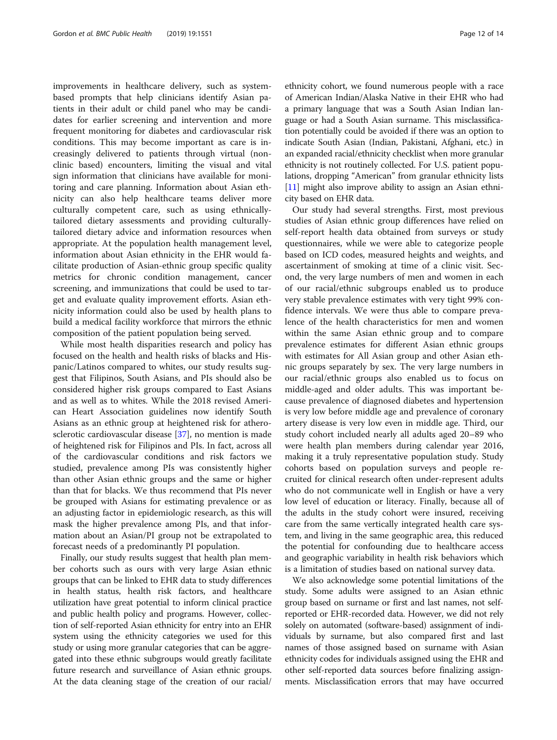improvements in healthcare delivery, such as systembased prompts that help clinicians identify Asian patients in their adult or child panel who may be candidates for earlier screening and intervention and more frequent monitoring for diabetes and cardiovascular risk conditions. This may become important as care is increasingly delivered to patients through virtual (nonclinic based) encounters, limiting the visual and vital sign information that clinicians have available for monitoring and care planning. Information about Asian ethnicity can also help healthcare teams deliver more culturally competent care, such as using ethnicallytailored dietary assessments and providing culturallytailored dietary advice and information resources when appropriate. At the population health management level, information about Asian ethnicity in the EHR would facilitate production of Asian-ethnic group specific quality metrics for chronic condition management, cancer screening, and immunizations that could be used to target and evaluate quality improvement efforts. Asian ethnicity information could also be used by health plans to build a medical facility workforce that mirrors the ethnic composition of the patient population being served.

While most health disparities research and policy has focused on the health and health risks of blacks and Hispanic/Latinos compared to whites, our study results suggest that Filipinos, South Asians, and PIs should also be considered higher risk groups compared to East Asians and as well as to whites. While the 2018 revised American Heart Association guidelines now identify South Asians as an ethnic group at heightened risk for atherosclerotic cardiovascular disease [[37\]](#page-13-0), no mention is made of heightened risk for Filipinos and PIs. In fact, across all of the cardiovascular conditions and risk factors we studied, prevalence among PIs was consistently higher than other Asian ethnic groups and the same or higher than that for blacks. We thus recommend that PIs never be grouped with Asians for estimating prevalence or as an adjusting factor in epidemiologic research, as this will mask the higher prevalence among PIs, and that information about an Asian/PI group not be extrapolated to forecast needs of a predominantly PI population.

Finally, our study results suggest that health plan member cohorts such as ours with very large Asian ethnic groups that can be linked to EHR data to study differences in health status, health risk factors, and healthcare utilization have great potential to inform clinical practice and public health policy and programs. However, collection of self-reported Asian ethnicity for entry into an EHR system using the ethnicity categories we used for this study or using more granular categories that can be aggregated into these ethnic subgroups would greatly facilitate future research and surveillance of Asian ethnic groups. At the data cleaning stage of the creation of our racial/

ethnicity cohort, we found numerous people with a race of American Indian/Alaska Native in their EHR who had a primary language that was a South Asian Indian language or had a South Asian surname. This misclassification potentially could be avoided if there was an option to indicate South Asian (Indian, Pakistani, Afghani, etc.) in an expanded racial/ethnicity checklist when more granular ethnicity is not routinely collected. For U.S. patient populations, dropping "American" from granular ethnicity lists [[11](#page-13-0)] might also improve ability to assign an Asian ethnicity based on EHR data.

Our study had several strengths. First, most previous studies of Asian ethnic group differences have relied on self-report health data obtained from surveys or study questionnaires, while we were able to categorize people based on ICD codes, measured heights and weights, and ascertainment of smoking at time of a clinic visit. Second, the very large numbers of men and women in each of our racial/ethnic subgroups enabled us to produce very stable prevalence estimates with very tight 99% confidence intervals. We were thus able to compare prevalence of the health characteristics for men and women within the same Asian ethnic group and to compare prevalence estimates for different Asian ethnic groups with estimates for All Asian group and other Asian ethnic groups separately by sex. The very large numbers in our racial/ethnic groups also enabled us to focus on middle-aged and older adults. This was important because prevalence of diagnosed diabetes and hypertension is very low before middle age and prevalence of coronary artery disease is very low even in middle age. Third, our study cohort included nearly all adults aged 20–89 who were health plan members during calendar year 2016, making it a truly representative population study. Study cohorts based on population surveys and people recruited for clinical research often under-represent adults who do not communicate well in English or have a very low level of education or literacy. Finally, because all of the adults in the study cohort were insured, receiving care from the same vertically integrated health care system, and living in the same geographic area, this reduced the potential for confounding due to healthcare access and geographic variability in health risk behaviors which is a limitation of studies based on national survey data.

We also acknowledge some potential limitations of the study. Some adults were assigned to an Asian ethnic group based on surname or first and last names, not selfreported or EHR-recorded data. However, we did not rely solely on automated (software-based) assignment of individuals by surname, but also compared first and last names of those assigned based on surname with Asian ethnicity codes for individuals assigned using the EHR and other self-reported data sources before finalizing assignments. Misclassification errors that may have occurred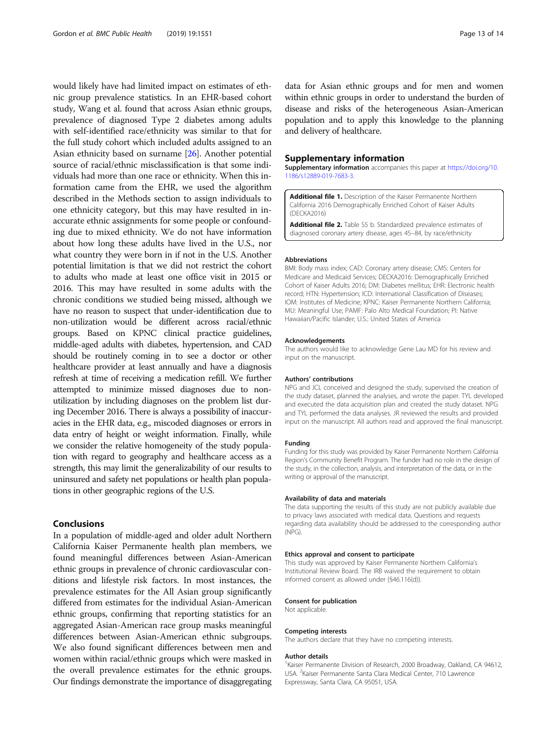<span id="page-12-0"></span>would likely have had limited impact on estimates of ethnic group prevalence statistics. In an EHR-based cohort study, Wang et al. found that across Asian ethnic groups, prevalence of diagnosed Type 2 diabetes among adults with self-identified race/ethnicity was similar to that for the full study cohort which included adults assigned to an Asian ethnicity based on surname [[26](#page-13-0)]. Another potential source of racial/ethnic misclassification is that some individuals had more than one race or ethnicity. When this information came from the EHR, we used the algorithm described in the Methods section to assign individuals to one ethnicity category, but this may have resulted in inaccurate ethnic assignments for some people or confounding due to mixed ethnicity. We do not have information about how long these adults have lived in the U.S., nor what country they were born in if not in the U.S. Another potential limitation is that we did not restrict the cohort to adults who made at least one office visit in 2015 or 2016. This may have resulted in some adults with the chronic conditions we studied being missed, although we have no reason to suspect that under-identification due to non-utilization would be different across racial/ethnic groups. Based on KPNC clinical practice guidelines, middle-aged adults with diabetes, hypertension, and CAD should be routinely coming in to see a doctor or other healthcare provider at least annually and have a diagnosis refresh at time of receiving a medication refill. We further attempted to minimize missed diagnoses due to nonutilization by including diagnoses on the problem list during December 2016. There is always a possibility of inaccuracies in the EHR data, e.g., miscoded diagnoses or errors in data entry of height or weight information. Finally, while we consider the relative homogeneity of the study population with regard to geography and healthcare access as a strength, this may limit the generalizability of our results to uninsured and safety net populations or health plan populations in other geographic regions of the U.S.

# Conclusions

In a population of middle-aged and older adult Northern California Kaiser Permanente health plan members, we found meaningful differences between Asian-American ethnic groups in prevalence of chronic cardiovascular conditions and lifestyle risk factors. In most instances, the prevalence estimates for the All Asian group significantly differed from estimates for the individual Asian-American ethnic groups, confirming that reporting statistics for an aggregated Asian-American race group masks meaningful differences between Asian-American ethnic subgroups. We also found significant differences between men and women within racial/ethnic groups which were masked in the overall prevalence estimates for the ethnic groups. Our findings demonstrate the importance of disaggregating

data for Asian ethnic groups and for men and women within ethnic groups in order to understand the burden of disease and risks of the heterogeneous Asian-American population and to apply this knowledge to the planning and delivery of healthcare.

# Supplementary information

Supplementary information accompanies this paper at [https://doi.org/10.](https://doi.org/10.1186/s12889-019-7683-3) [1186/s12889-019-7683-3.](https://doi.org/10.1186/s12889-019-7683-3)

Additional file 1. Description of the Kaiser Permanente Northern California 2016 Demographically Enriched Cohort of Kaiser Adults (DECKA2016)

Additional file 2. Table S5 b. Standardized prevalence estimates of diagnosed coronary artery disease, ages 45–84, by race/ethnicity

#### **Abbreviations**

BMI: Body mass index; CAD: Coronary artery disease; CMS: Centers for Medicare and Medicaid Services; DECKA2016: Demographically Enriched Cohort of Kaiser Adults 2016; DM: Diabetes mellitus; EHR: Electronic health record; HTN: Hypertension; ICD: International Classification of Diseases; IOM: Institutes of Medicine; KPNC: Kaiser Permanente Northern California; MU: Meaningful Use; PAMF: Palo Alto Medical Foundation; PI: Native Hawaiian/Pacific Islander; U.S.: United States of America

#### Acknowledgements

The authors would like to acknowledge Gene Lau MD for his review and input on the manuscript.

#### Authors' contributions

NPG and JCL conceived and designed the study, supervised the creation of the study dataset, planned the analyses, and wrote the paper. TYL developed and executed the data acquisition plan and created the study dataset. NPG and TYL performed the data analyses. JR reviewed the results and provided input on the manuscript. All authors read and approved the final manuscript.

#### Funding

Funding for this study was provided by Kaiser Permanente Northern California Region's Community Benefit Program. The funder had no role in the design of the study, in the collection, analysis, and interpretation of the data, or in the writing or approval of the manuscript.

# Availability of data and materials

The data supporting the results of this study are not publicly available due to privacy laws associated with medical data. Questions and requests regarding data availability should be addressed to the corresponding author (NPG).

#### Ethics approval and consent to participate

This study was approved by Kaiser Permanente Northern California's Institutional Review Board. The IRB waived the requirement to obtain informed consent as allowed under {§46.116(d)}.

### Consent for publication

Not applicable.

#### Competing interests

The authors declare that they have no competing interests.

#### Author details

<sup>1</sup> Kaiser Permanente Division of Research, 2000 Broadway, Oakland, CA 94612, USA. <sup>2</sup> Kaiser Permanente Santa Clara Medical Center, 710 Lawrence Expressway, Santa Clara, CA 95051, USA.